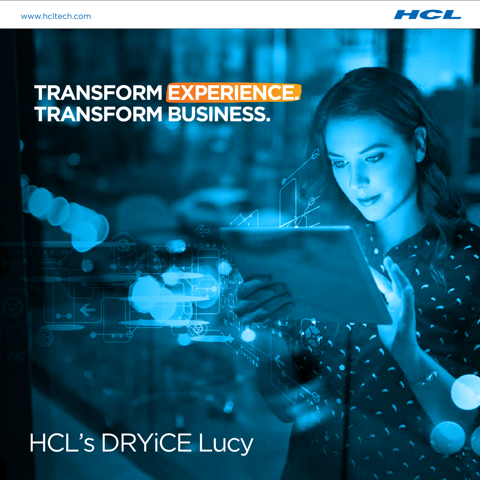

## **TRANSFORM EXPERIENCE. TRANSFORM BUSINESS.**

# HCL's DRYiCE Lucy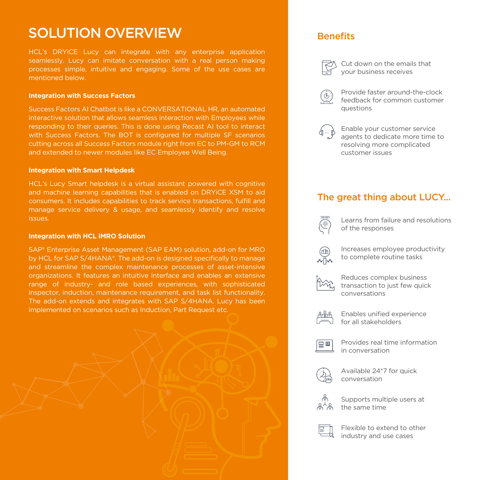### SOLUTION OVERVIEW Benefits

HCL's DRYiCE Lucy can integrate with any enterprise application seamlessly. Lucy can imitate conversation with a real person making processes simple, intuitive and engaging. Some of the use cases are mentioned below.

#### **Integration with Success Factors**

Success Factors AI Chatbot is like a CONVERSATIONAL HR, an automated interactive solution that allows seamless interaction with Employees while responding to their queries. This is done using Recast AI tool to interact with Success Factors. The BOT is configured for multiple SF scenarios cutting across all Success Factors module right from EC to PM-GM to RCM and extended to newer modules like EC Employee Well Being.

#### **Integration with Smart Helpdesk**

HCL's Lucy Smart helpdesk is a virtual assistant powered with cognitive and machine learning capabilities that is enabled on DRYiCE XSM to aid consumers. It includes capabilities to track service transactions, fulfill and manage service delivery & usage, and seamlessly identify and resolve issues.

#### **Integration with HCL iMRO Solution**

SAP® Enterprise Asset Management (SAP EAM) solution, add-on for MRO by HCL for SAP S/4HANA®. The add-on is designed specifically to manage and streamline the complex maintenance processes of asset-intensive organizations. It features an intuitive interface and enables an extensive range of industry- and role based experiences, with sophisticated inspector, induction, maintenance requirement, and task list functionality. The add-on extends and integrates with SAP S/4HANA. Lucy has been implemented on scenarios such as Induction, Part Request etc.



Cut down on the emails that your business receives



Provide faster around-the-clock feedback for common customer questions



Enable your customer service agents to dedicate more time to resolving more complicated customer issues

### The great thing about LUCY...



Learns from failure and resolutions of the responses



Increases employee productivity to complete routine tasks



Reduces complex business transaction to just few quick conversations



Enables unified experience for all stakeholders



Provides real time information in conversation



Available 24\*7 for quick conversation



Supports multiple users at the same time



Flexible to extend to other industry and use cases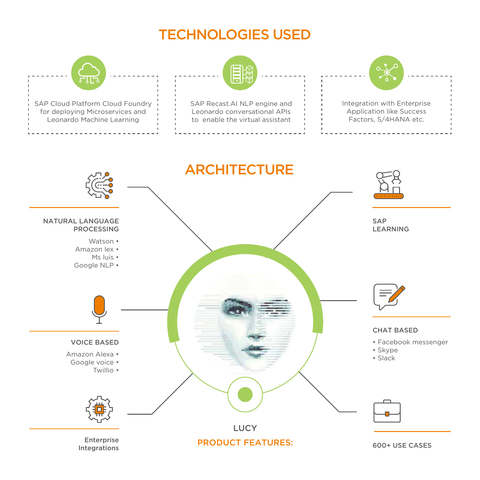## TECHNOLOGIES USED